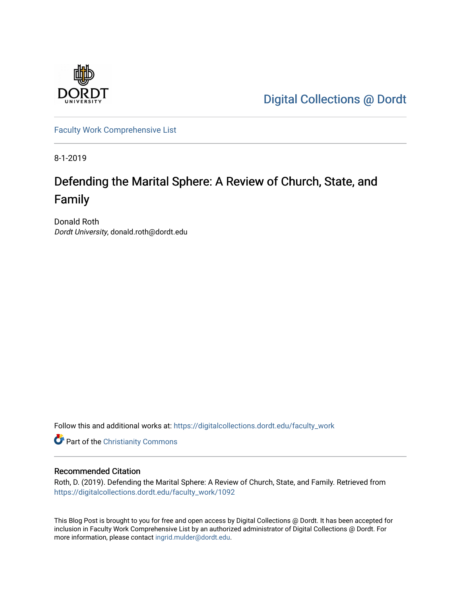

[Digital Collections @ Dordt](https://digitalcollections.dordt.edu/) 

[Faculty Work Comprehensive List](https://digitalcollections.dordt.edu/faculty_work)

8-1-2019

## Defending the Marital Sphere: A Review of Church, State, and Family

Donald Roth Dordt University, donald.roth@dordt.edu

Follow this and additional works at: [https://digitalcollections.dordt.edu/faculty\\_work](https://digitalcollections.dordt.edu/faculty_work?utm_source=digitalcollections.dordt.edu%2Ffaculty_work%2F1092&utm_medium=PDF&utm_campaign=PDFCoverPages) 

Part of the [Christianity Commons](http://network.bepress.com/hgg/discipline/1181?utm_source=digitalcollections.dordt.edu%2Ffaculty_work%2F1092&utm_medium=PDF&utm_campaign=PDFCoverPages) 

### Recommended Citation

Roth, D. (2019). Defending the Marital Sphere: A Review of Church, State, and Family. Retrieved from [https://digitalcollections.dordt.edu/faculty\\_work/1092](https://digitalcollections.dordt.edu/faculty_work/1092?utm_source=digitalcollections.dordt.edu%2Ffaculty_work%2F1092&utm_medium=PDF&utm_campaign=PDFCoverPages)

This Blog Post is brought to you for free and open access by Digital Collections @ Dordt. It has been accepted for inclusion in Faculty Work Comprehensive List by an authorized administrator of Digital Collections @ Dordt. For more information, please contact [ingrid.mulder@dordt.edu.](mailto:ingrid.mulder@dordt.edu)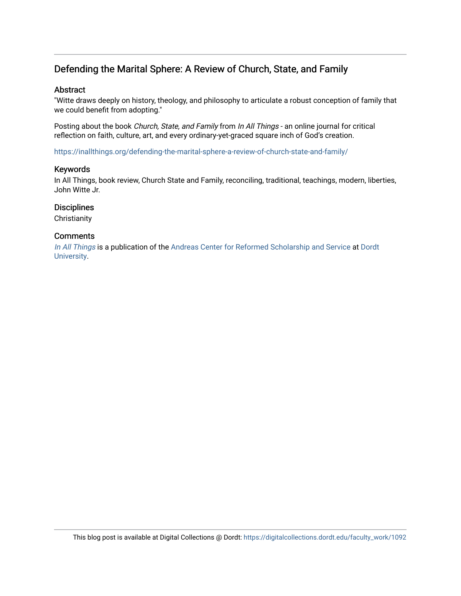## Defending the Marital Sphere: A Review of Church, State, and Family

### Abstract

"Witte draws deeply on history, theology, and philosophy to articulate a robust conception of family that we could benefit from adopting."

Posting about the book Church, State, and Family from In All Things - an online journal for critical reflection on faith, culture, art, and every ordinary-yet-graced square inch of God's creation.

<https://inallthings.org/defending-the-marital-sphere-a-review-of-church-state-and-family/>

#### Keywords

In All Things, book review, Church State and Family, reconciling, traditional, teachings, modern, liberties, John Witte Jr.

### **Disciplines**

**Christianity** 

### **Comments**

[In All Things](http://inallthings.org/) is a publication of the [Andreas Center for Reformed Scholarship and Service](http://www.dordt.edu/services_support/andreas_center/) at Dordt [University](http://www.dordt.edu/).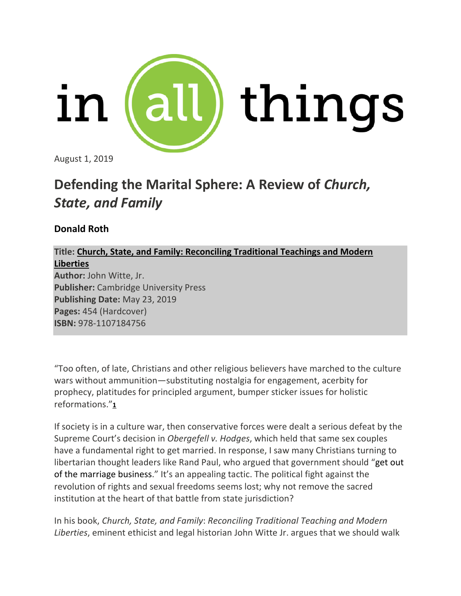

August 1, 2019

# **Defending the Marital Sphere: A Review of** *Church, State, and Family*

## **Donald Roth**

## **Title: Church, State, and Family: Reconciling Traditional Teachings and Modern Liberties**

**Author:** John Witte, Jr. **Publisher:** Cambridge University Press **Publishing Date:** May 23, 2019 **Pages:** 454 (Hardcover) **ISBN:** 978-1107184756

"Too often, of late, Christians and other religious believers have marched to the culture wars without ammunition—substituting nostalgia for engagement, acerbity for prophecy, platitudes for principled argument, bumper sticker issues for holistic reformations."**[1](https://inallthings.org/defending-the-marital-sphere-a-review-of-church-state-and-family/#fn1-17076)**

If society is in a culture war, then conservative forces were dealt a serious defeat by the Supreme Court's decision in *Obergefell v. Hodges*, which held that same sex couples have a fundamental right to get married. In response, I saw many Christians turning to libertarian thought leaders like Rand Paul, who argued that government should "get out of the marriage business." It's an appealing tactic. The political fight against the revolution of rights and sexual freedoms seems lost; why not remove the sacred institution at the heart of that battle from state jurisdiction?

In his book, *Church, State, and Family*: *Reconciling Traditional Teaching and Modern Liberties*, eminent ethicist and legal historian John Witte Jr. argues that we should walk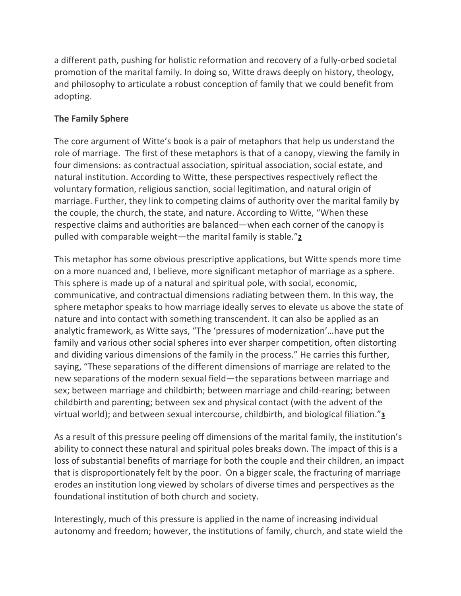a different path, pushing for holistic reformation and recovery of a fully-orbed societal promotion of the marital family. In doing so, Witte draws deeply on history, theology, and philosophy to articulate a robust conception of family that we could benefit from adopting.

## **The Family Sphere**

The core argument of Witte's book is a pair of metaphors that help us understand the role of marriage. The first of these metaphors is that of a canopy, viewing the family in four dimensions: as contractual association, spiritual association, social estate, and natural institution. According to Witte, these perspectives respectively reflect the voluntary formation, religious sanction, social legitimation, and natural origin of marriage. Further, they link to competing claims of authority over the marital family by the couple, the church, the state, and nature. According to Witte, "When these respective claims and authorities are balanced—when each corner of the canopy is pulled with comparable weight—the marital family is stable."**[2](https://inallthings.org/defending-the-marital-sphere-a-review-of-church-state-and-family/#fn2-17076)**

This metaphor has some obvious prescriptive applications, but Witte spends more time on a more nuanced and, I believe, more significant metaphor of marriage as a sphere. This sphere is made up of a natural and spiritual pole, with social, economic, communicative, and contractual dimensions radiating between them. In this way, the sphere metaphor speaks to how marriage ideally serves to elevate us above the state of nature and into contact with something transcendent. It can also be applied as an analytic framework, as Witte says, "The 'pressures of modernization'…have put the family and various other social spheres into ever sharper competition, often distorting and dividing various dimensions of the family in the process." He carries this further, saying, "These separations of the different dimensions of marriage are related to the new separations of the modern sexual field—the separations between marriage and sex; between marriage and childbirth; between marriage and child-rearing; between childbirth and parenting; between sex and physical contact (with the advent of the virtual world); and between sexual intercourse, childbirth, and biological filiation."**[3](https://inallthings.org/defending-the-marital-sphere-a-review-of-church-state-and-family/#fn3-17076)**

As a result of this pressure peeling off dimensions of the marital family, the institution's ability to connect these natural and spiritual poles breaks down. The impact of this is a loss of substantial benefits of marriage for both the couple and their children, an impact that is disproportionately felt by the poor. On a bigger scale, the fracturing of marriage erodes an institution long viewed by scholars of diverse times and perspectives as the foundational institution of both church and society.

Interestingly, much of this pressure is applied in the name of increasing individual autonomy and freedom; however, the institutions of family, church, and state wield the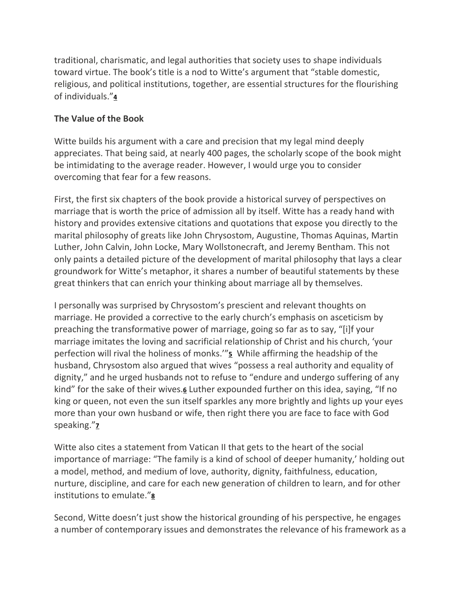traditional, charismatic, and legal authorities that society uses to shape individuals toward virtue. The book's title is a nod to Witte's argument that "stable domestic, religious, and political institutions, together, are essential structures for the flourishing of individuals."**[4](https://inallthings.org/defending-the-marital-sphere-a-review-of-church-state-and-family/#fn4-17076)**

## **The Value of the Book**

Witte builds his argument with a care and precision that my legal mind deeply appreciates. That being said, at nearly 400 pages, the scholarly scope of the book might be intimidating to the average reader. However, I would urge you to consider overcoming that fear for a few reasons.

First, the first six chapters of the book provide a historical survey of perspectives on marriage that is worth the price of admission all by itself. Witte has a ready hand with history and provides extensive citations and quotations that expose you directly to the marital philosophy of greats like John Chrysostom, Augustine, Thomas Aquinas, Martin Luther, John Calvin, John Locke, Mary Wollstonecraft, and Jeremy Bentham. This not only paints a detailed picture of the development of marital philosophy that lays a clear groundwork for Witte's metaphor, it shares a number of beautiful statements by these great thinkers that can enrich your thinking about marriage all by themselves.

I personally was surprised by Chrysostom's prescient and relevant thoughts on marriage. He provided a corrective to the early church's emphasis on asceticism by preaching the transformative power of marriage, going so far as to say, "[i]f your marriage imitates the loving and sacrificial relationship of Christ and his church, 'your perfection will rival the holiness of monks.'"**[5](https://inallthings.org/defending-the-marital-sphere-a-review-of-church-state-and-family/#fn5-17076)** While affirming the headship of the husband, Chrysostom also argued that wives "possess a real authority and equality of dignity," and he urged husbands not to refuse to "endure and undergo suffering of any kind" for the sake of their wives.**[6](https://inallthings.org/defending-the-marital-sphere-a-review-of-church-state-and-family/#fn6-17076)** Luther expounded further on this idea, saying, "If no king or queen, not even the sun itself sparkles any more brightly and lights up your eyes more than your own husband or wife, then right there you are face to face with God speaking."**[7](https://inallthings.org/defending-the-marital-sphere-a-review-of-church-state-and-family/#fn7-17076)**

Witte also cites a statement from Vatican II that gets to the heart of the social importance of marriage: "The family is a kind of school of deeper humanity,' holding out a model, method, and medium of love, authority, dignity, faithfulness, education, nurture, discipline, and care for each new generation of children to learn, and for other institutions to emulate."**[8](https://inallthings.org/defending-the-marital-sphere-a-review-of-church-state-and-family/#fn8-17076)**

Second, Witte doesn't just show the historical grounding of his perspective, he engages a number of contemporary issues and demonstrates the relevance of his framework as a